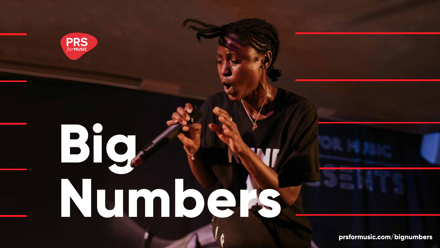

# **Big Numbers**

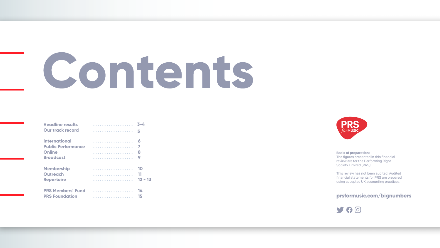### Basis of preparation:

The figures presented in this financial review are for the Performing Right Society Limited (PRS).

# <span id="page-1-0"></span>Contents

| <b>Headline results</b>   |   | 3-4       |
|---------------------------|---|-----------|
| <b>Our track record</b>   | . | 5         |
| <b>International</b>      | . | Ō         |
| <b>Public Performance</b> | . |           |
| <b>Online</b>             | . | 8         |
| <b>Broadcast</b>          |   | 9         |
| <b>Membership</b>         |   | 10        |
| <b>Outreach</b>           |   | 11        |
| <b>Repertoire</b>         |   | $12 - 13$ |
| <b>PRS Members' Fund</b>  | . | 14        |
| <b>PRS Foundation</b>     |   | 15        |



This review has not been audited. Audited financial statements for PRS are prepared using accepted UK accounting practices.



### **prsformusic.com/bignumbers**

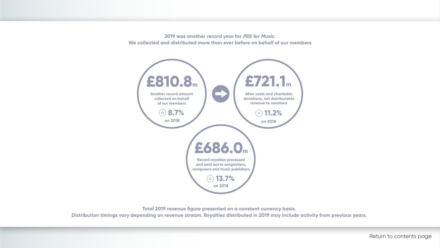<span id="page-2-0"></span>**2019 was another record year for PRS for Music. We collected and distributed more than ever before on behalf of our members**



**Total 2019 revenue figure presented on a constant currency basis. Distribution timings vary depending on revenue stream. Royalties distributed in 2019 may include activity from previous years.**

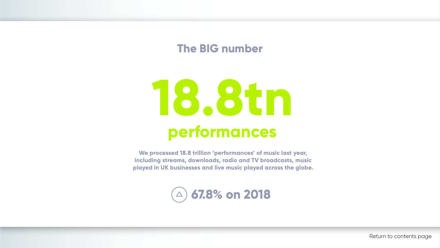**We processed 18.8 trillion 'performances' of music last year, including streams, downloads, radio and TV broadcasts, music played in UK businesses and live music played across the globe.**



# **18.8tn performances**

# **The BIG number**

# **67.8% on 2018**

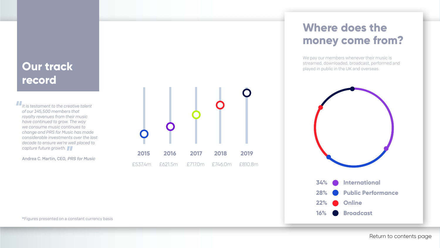We pay our members whenever their music is streamed, downloaded, broadcast, performed and played in public in the UK and overseas.

# Where does the **money come from?**



## <span id="page-4-0"></span>**Our track record**

*It is testament to the creative talent of our 145,500 members that royalty revenues from their music have continued to grow. The way we consume music continues to change and PRS for Music has made considerable investments over the last decade to ensure we're well placed to capture future growth.* 

Andrea C. Martin, CEO, PRS for Music

\*Figures presented on a constant currency basis



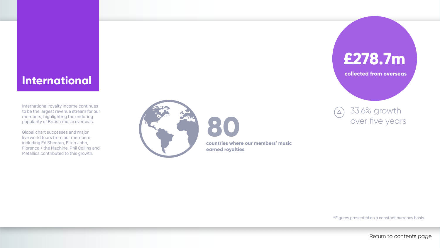### <span id="page-5-0"></span>**International**

International royalty income continues to be the largest revenue stream for our members, highlighting the enduring popularity of British music overseas.

Global chart successes and major live world tours from our members including Ed Sheeran, Elton John, Florence + the Machine, Phil Collins and Metallica contributed to this growth.





**collected from overseas**

\*Figures presented on a constant currency basis

**countries where our members' music earned royalties** 



33.6% growth  $(\triangle)$ over five years

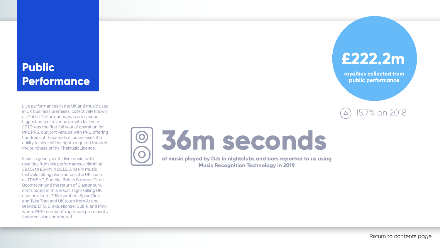# <span id="page-6-0"></span>**Public Performance**

Live performances in the UK and music used in UK business premises, collectively known as Public Performance, was our second biggest area of revenue growth last year. 2019 was the first full year of operation for PPL PRS, our joint venture with PPL, offering hundreds of thousands of businesses the ability to clear all the rights required through the purchase of the TheMusicLicence.

### 15.7% on 2018  $\Delta$

It was a good year for live music, with royalties from live performances climbing 38.8% to £54m in 2019. A rise in music festivals taking place across the UK, such as TRNSMT, Parklife, British Summer Time, Boomtown and the return of Glastonbury, contributed to this result. High-selling UK concerts from PRS members Spice Girls and Take That and UK tours from Ariana Grande, BTS, Drake, Michael Bublé, and P!nk, where PRS members' repertoire prominently featured, also contributed.





**royalties collected from public performance**

# **36m seconds**

**of music played by DJs in nightclubs and bars reported to us using Music Recognition Technology in 2019**

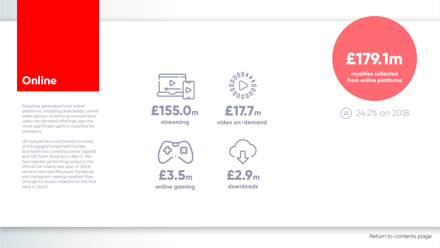### <span id="page-7-0"></span>**Online**

Royalties generated from online platforms, including downloads, online video games, streaming services and video-on-demand offerings saw the most significant uplift in royalties for members.

24.2% on 2018  $\Delta$ 

UK songwriters contributed to many of the biggest streamed hits like Someone You Loved by Lewis Capaldi and Old Town Road by Lil Nas X, the two highest performing songs in the official UK charts last year. In 2018, we also licensed Mixcloud, Facebook and Instagram, seeing royalties flow through to music creators for the first time in 2019.





**royalties collected from online platforms**



**video on-demand**





**£3.5m online gaming**



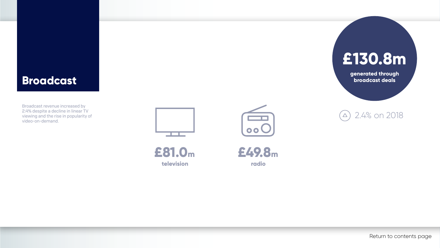### <span id="page-8-0"></span>**Broadcast**

Broadcast revenue increased by 2.4% despite a decline in linear TV viewing and the rise in popularity of video-on-demand.



**£49.8m radio**





**generated through broadcast deals**





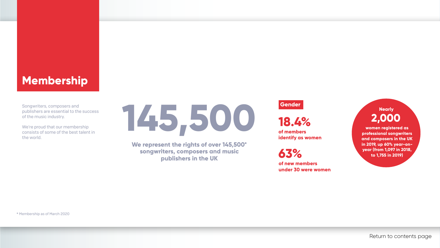### <span id="page-9-0"></span>**Membership**

Songwriters, composers and publishers are essential to the success of the music industry.

We're proud that our membership consists of some of the best talent in the world.



**We represent the rights of over 145,500\* songwriters, composers and music publishers in the UK**

### **Gender**

**18.4%**

**of members identify as women**

**63%**

**of new members under 30 were women**

**women registered as professional songwriters and composers in the UK in 2019, up 60% year-onyear (from 1,097 in 2018, to 1,755 in 2019)**

### **2,000 Nearly**

\* Membership as of March 2020



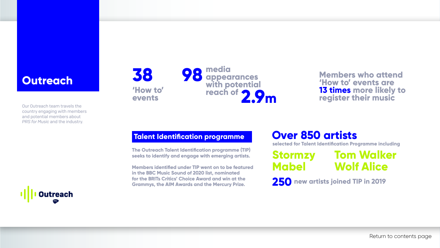### <span id="page-10-0"></span>**Outreach**

Our Outreach team travels the country engaging with members and potential members about *PRS for Music* and the industry.



**Members who attend 'How to' events are 13 times more likely to register their music**

**The Outreach Talent Identification programme (TIP) seeks to identify and engage with emerging artists.**

**38 98 media appearances with potential reach of** 

**Members identified under TIP went on to be featured in the BBC Music Sound of 2020 list, nominated for the BRITs Critics' Choice Award and win at the Grammys, the AIM Awards and the Mercury Prize.**

## **Over 850 artists**

**selected for Talent Identification Programme including**

**250 new artists joined TIP in 2019**

**'How to'**

### **Stormzy Mabel Tom Walker Wolf Alice**

**events**

## **Talent Identification programme**

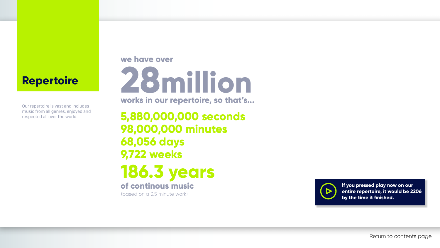### **Repertoire**

Our repertoire is vast and includes music from all genres, enjoyed and

<span id="page-11-0"></span>respected all over the world. **5,880,000,000 seconds 98,000,000 minutes 68,056 days 9,722 weeks 28million works in our repertoire, so that's... 186.3 years**

### **we have over**

# **of continous music**

(based on a 3.5 minute work)





**If you pressed play now on our entire repertoire, it would be 2206 by the time it finished.**



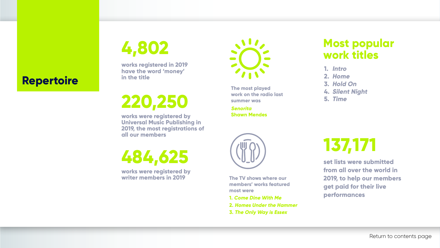**work on the radio last summer was**

**Senorita Shawn Mendes**

**The TV shows where our members' works featured most were** 

- **1. Come Dine With Me**
- **2. Homes Under the Hammer**
- **3. The Only Way is Essex**

## **Most popular work titles**

**works registered in 2019 have the word 'money' in the title**

**works were registered by Universal Music Publishing in 2019, the most registrations of all our members**

- **1. Intro**
- **2. Home**
- **3. Hold On**
- **4. Silent Night**
- **5. Time**



# **Repertoire The most played The most played The most played**

**4,802**

**220,250**

**works were registered by writer members in 2019**



**484,625 set lists were submitted** 

**from all over the world in 2019, to help our members get paid for their live performances**

# **137,171**

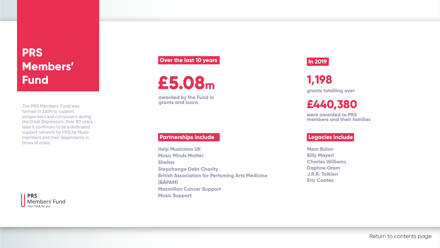# <span id="page-13-0"></span>**PRS Members' Fund**

The PRS Members' Fund was formed in 1934 to support songwriters and composers during the Great Depression. Over 80 years later it continues to be a dedicated support network for *PRS for Music* members and their dependants in times of crisis.

> **Marc Bolan Billy Mayerl Charles Williams Daphne Oram J.R.R. Tolkien Eric Coates**

# **1,198**

**grants totalling over**

### **£440,380**

**were awarded to PRS members and their families**





**awarded by the Fund in grants and loans**

### **Partnerships include**

**Help Musicians UK Music Minds Matter Shelter Stepchange Debt Charity (BAPAM) Macmillan Cancer Support Music Support**



**British Association for Perfoming Arts Medicine** 

### **Legacies include**

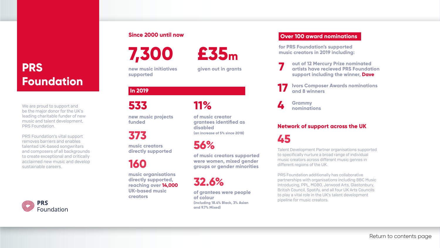# <span id="page-14-0"></span>**PRS Foundation**

We are proud to support and be the major donor for the UK's leading charitable funder of new music and talent development, PRS Foundation.

PRS Foundation's vital support removes barriers and enables talented UK-based songwriters and composers of all backgrounds to create exceptional and critically acclaimed new music and develop sustainable careers.



**533**

**new music projects funded**

**373**

**music creators directly supported**

### **In 2019**

**160**

**music organisations directly supported, reaching over 14,000 UK-based music creators**

### **11%**

**of music creator grantees identified as (an increase of 5% since 2018)**

**disabled** 

**56%**

**of music creators supported were women, mixed gender groups or gender minorities** 

### **32.6%**

**of colour** 

### **of grantees were people (including 18.4% Black, 3% Asian and 9.7% Mixed)**

### **Over 100 award nominations**

**for PRS Foundation's supported music creators in 2019 including:**

**7 out of 12 Mercury Prize nominated artists have recieved PRS Foundation support including the winner, Dave**



**17 Ivors Composer Awards nominations and 8 winners** 

**4 Grammy nominations**

### **Since 2000 until now**

**7,300**





# **£35m**



**given out in grants**

Talent Development Partner organisations supported to specifically nurture a broad range of individual music creators across different music genres in different regions of the UK.

PRS Foundation additionally has collaborative partnerships with organisations including BBC Music Introducing, PPL, MOBO, Jerwood Arts, Glastonbury, British Council, Spotify, and all four UK Arts Councils to play a vital role in the UK's talent development pipeline for music creators.

### **Network of support across the UK**

**45**